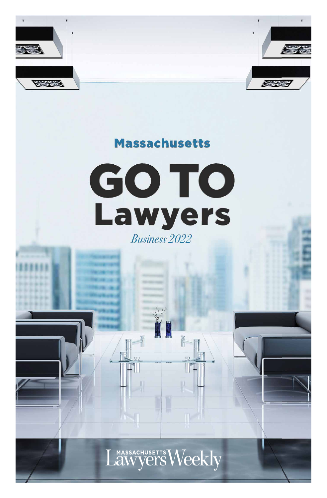



# **Massachusetts**





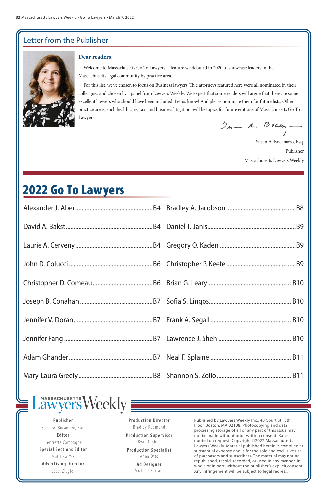Published by Lawyers Weekly Inc., 40 Court St., 5th Floor, Boston, MA 02108. Photocopying and data processing storage of all or any part of this issue may not be made without prior written consent. Rates quoted on request. Copyright ©2022 Massachusetts Lawyers Weekly. Material published herein is compiled at substantial expense and is for the sole and exclusive use of purchasers and subscribers. The material may not be republished, resold, recorded, or used in any manner, in whole or in part, without the publisher's explicit consent. Any infringement will be subject to legal redress.

**Publisher** Susan A. Bocamazo, Esq. **Editor** Henriette Campagne **Special Sections Editor** Matthew Yas **Advertising Director** Scott Ziegler

**Production Director** Bradley Redmond **Production Supervisor** Ryan O'Shea **Production Specialist** Anna Otto **Ad Designer** Michael Bertani

### **Dear readers,**

Welcome to Massachusetts Go To Lawyers, a feature we debuted in 2020 to showcase leaders in the Massachusetts legal community by practice area.

For this list, we've chosen to focus on Business lawyers. Th e attorneys featured here were all nominated by their colleagues and chosen by a panel from Lawyers Weekly. We expect that some readers will argue that there are some excellent lawyers who should have been included. Let us know! And please nominate them for future lists. Other practice areas, such health care, tax, and business litigation, will be topics for future editions of Massachusetts Go To Lawyers.

 $2n - 1$ . Bocan

Susan A. Bocamazo, Esq. Publisher Massachusetts Lawyers Weekly

## Letter from the Publisher



#### MASSACHUSETTS eekl **Vers**  $\partial W$

# 2022 Go To Lawyers